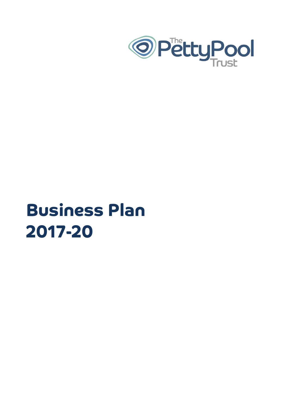

## **Business Plan 2017-20**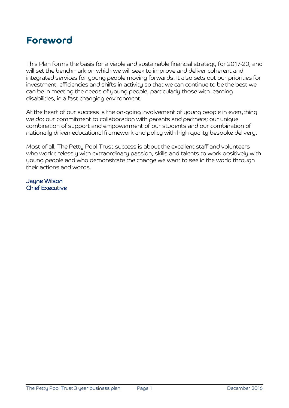

This Plan forms the basis for a viable and sustainable financial strategy for 2017-20, and will set the benchmark on which we will seek to improve and deliver coherent and integrated services for young people moving forwards. It also sets out our priorities for investment, efficiencies and shifts in activity so that we can continue to be the best we can be in meeting the needs of young people, particularly those with learning disabilities, in a fast changing environment.

At the heart of our success is the on-going involvement of young people in everything we do; our commitment to collaboration with parents and partners; our unique combination of support and empowerment of our students and our combination of nationally driven educational framework and policy with high quality bespoke delivery.

Most of all, The Petty Pool Trust success is about the excellent staff and volunteers who work tirelessly with extraordinary passion, skills and talents to work positively with young people and who demonstrate the change we want to see in the world through their actions and words.

Jayne Wilson Chief Executive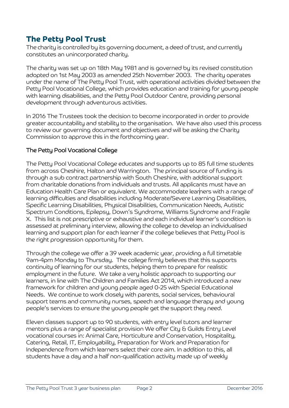## **The Petty Pool Trust**

The charity is controlled by its governing document, a deed of trust, and currently constitutes an unincorporated charity.

The charity was set up on 18th May 1981 and is governed by its revised constitution adopted on 1st May 2003 as amended 25th November 2003. The charity operates under the name of The Petty Pool Trust, with operational activities divided between the Petty Pool Vocational College, which provides education and training for young people with learning disabilities, and the Petty Pool Outdoor Centre, providing personal development through adventurous activities.

In 2016 The Trustees took the decision to become incorporated in order to provide greater accountability and stability to the organisation. We have also used this process to review our governing document and objectives and will be asking the Charity Commission to approve this in the forthcoming year.

#### The Petty Pool Vocational College

The Petty Pool Vocational College educates and supports up to 85 full time students from across Cheshire, Halton and Warrington. The principal source of funding is through a sub contract partnership with South Cheshire, with additional support from charitable donations from individuals and trusts. All applicants must have an Education Health Care Plan or equivalent. We accommodate learners with a range of learning difficulties and disabilities including Moderate/Severe Learning Disabilities, Specific Learning Disabilities, Physical Disabilities, Communication Needs, Autistic Spectrum Conditions, Epilepsy, Down's Syndrome, Williams Syndrome and Fragile X. This list is not prescriptive or exhaustive and each individual learner's condition is assessed at preliminary interview, allowing the college to develop an individualised learning and support plan for each learner if the college believes that Petty Pool is the right progression opportunity for them.

Through the college we offer a 39 week academic year, providing a full timetable 9am-4pm Monday to Thursday. The college firmly believes that this supports continuity of learning for our students, helping them to prepare for realistic employment in the future. We take a very holistic approach to supporting our learners, in line with The Children and Families Act 2014, which introduced a new framework for children and young people aged 0-25 with Special Educational Needs. We continue to work closely with parents, social services, behavioural support teams and community nurses, speech and language therapy and young people's services to ensure the young people get the support they need.

Eleven classes support up to 90 students, with entry level tutors and learner mentors plus a range of specialist provision We offer City & Guilds Entry Level vocational courses in: Animal Care, Horticulture and Conservation, Hospitality, Catering, Retail, IT, Employability, Preparation for Work and Preparation for Independence from which learners select their core aim. In addition to this, all students have a day and a half non-qualification activity made up of weekly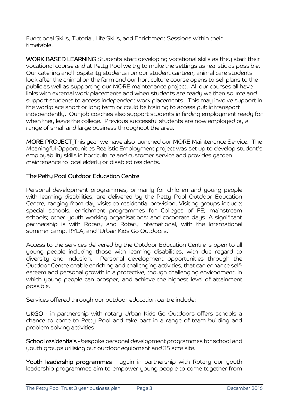Functional Skills, Tutorial, Life Skills, and Enrichment Sessions within their timetable.

WORK BASED LEARNING Students start developing vocational skills as they start their vocational course and at Petty Pool we try to make the settings as realistic as possible. Our catering and hospitality students run our student canteen, animal care students look after the animal on the farm and our horticulture course opens to sell plans to the public as well as supporting our MORE maintenance project. All our courses all have links with external work placements and when students are ready we then source and support students to access independent work placements. This may involve support in the workplace short or long term or could be training to access public transport independently. Our job coaches also support students in finding employment ready for when they leave the college. Previous successful students are now employed by a range of small and large business throughout the area.

MORE PROJECT This year we have also launched our MORE Maintenance Service. The Meaningful Opportunities Realistic Employment project was set up to develop student's employability skills in horticulture and customer service and provides garden maintenance to local elderly or disabled residents.

#### The Petty Pool Outdoor Education Centre

Personal development programmes, primarily for children and young people with learning disabilities, are delivered by the Petty Pool Outdoor Education Centre, ranging from day visits to residential provision. Visiting groups include: special schools; enrichment programmes for Colleges of FE; mainstream schools; other youth working organisations; and corporate days. A significant partnership is with Rotary and Rotary International, with the International summer camp, RYLA, and 'Urban Kids Go Outdoors.'

Access to the services delivered by the Outdoor Education Centre is open to all young people including those with learning disabilities, with due regard to diversity and inclusion. Personal development opportunities through the Outdoor Centre enable enriching and challenging activities, that can enhance selfesteem and personal growth in a protective, though challenging environment, in which young people can prosper, and achieve the highest level of attainment possible.

Services offered through our outdoor education centre include:-

UKGO - in partnership with rotary Urban Kids Go Outdoors offers schools a chance to come to Petty Pool and take part in a range of team building and problem solving activities.

School residentials - bespoke personal development programmes for school and youth groups utilising our outdoor equipment and 35 acre site.

Youth leadership programmes - again in partnership with Rotary our youth leadership programmes aim to empower young people to come together from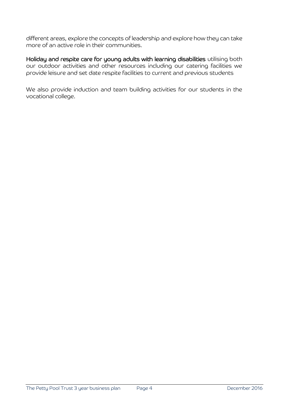different areas, explore the concepts of leadership and explore how they can take more of an active role in their communities.

Holiday and respite care for young adults with learning disabilities utilising both our outdoor activities and other resources including our catering facilities we provide leisure and set date respite facilities to current and previous students

We also provide induction and team building activities for our students in the vocational college.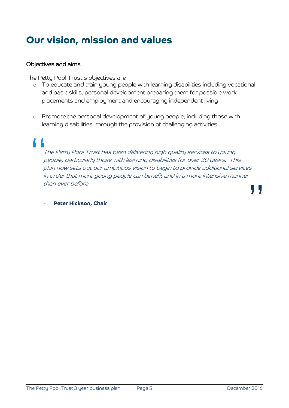## **Our vision, mission and values**

#### Objectives and aims

The Petty Pool Trust's objectives are

- o To educate and train young people with learning disabilities including vocational and basic skills, personal development preparing them for possible work placements and employment and encouraging independent living
- o Promote the personal development of young people, including those with learning disabilities, through the provision of challenging activities

# $\begin{array}{c}\n\bullet \\
\bullet \\
\bullet \\
\bullet \\
\bullet\n\end{array}$

The Petty Pool Trust has been delivering high quality services to young people, particularly those with learning disabilities for over 30 years. This plan now sets out our ambitious vision to begin to provide additional services in order that more young people can benefit and in a more intensive manner than ever before

**"** 

#### Peter Hickson, Chair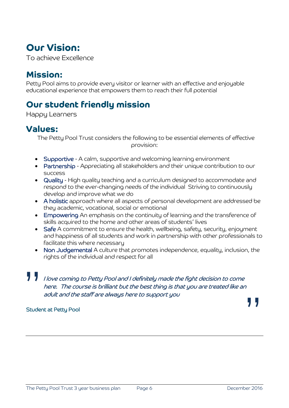## **Our Vision:**

To achieve Excellence

## **Mission:**

Petty Pool aims to provide every visitor or learner with an effective and enjoyable educational experience that empowers them to reach their full potential

## **Our student friendly mission**

Happy Learners

## **Values:**

 The Petty Pool Trust considers the following to be essential elements of effective provision:

- Supportive A calm, supportive and welcoming learning environment
- Partnership Appreciating all stakeholders and their unique contribution to our success
- Quality High quality teaching and a curriculum designed to accommodate and respond to the ever-changing needs of the individual Striving to continuously develop and improve what we do
- A holistic approach where all aspects of personal development are addressed be they academic, vocational, social or emotional
- Empowering An emphasis on the continuity of learning and the transference of skills acquired to the home and other areas of students' lives
- Safe A commitment to ensure the health, wellbeing, safety, security, enjoyment and happiness of all students and work in partnership with other professionals to facilitate this where necessary
- Non Judgemental A culture that promotes independence, equality, inclusion, the rights of the individual and respect for all

## **" "** I love coming to Petty Pool and I definitely made the fight decision to come here. The course is brilliant but the best thing is that you are treated like an adult and the staff are always here to support you

#### Student at Petty Pool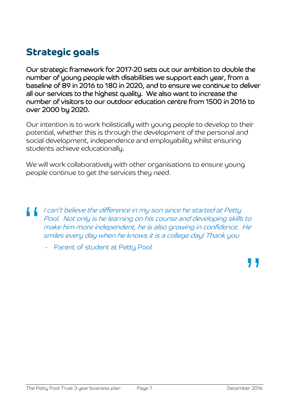## **Strategic goals**

Our strategic framework for 2017-20 sets out our ambition to double the number of young people with disabilities we support each year, from a baseline of 89 in 2016 to 180 in 2020, and to ensure we continue to deliver all our services to the highest quality. We also want to increase the number of visitors to our outdoor education centre from 1500 in 2016 to over 2000 by 2020.

Our intention is to work holistically with young people to develop to their potential, whether this is through the development of the personal and social development, independence and employability whilst ensuring students achieve educationally.

We will work collaboratively with other organisations to ensure young people continue to get the services they need.

" I can't believe the difference in my son since he started at Petty Pool. Not only is he learning on his course and developing skills to make him more independent, he is also growing in confidence. He smiles every day when he knows it is a college day! Thank you

Parent of student at Petty Pool

**"**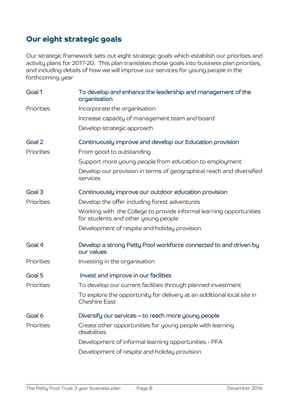## **Our eight strategic goals**

Our strategic framework sets out eight strategic goals which establish our priorities and activity plans for 2017-20. This plan translates those goals into business plan priorities, and including details of how we will improve our services for young people in the forthcoming year

| Goal 1     | To develop and enhance the leadership and management of the<br>organisation                                |
|------------|------------------------------------------------------------------------------------------------------------|
| Priorities | Incorporate the organisation                                                                               |
|            | Increase capacity of management team and board                                                             |
|            | Develop strategic approach                                                                                 |
| Goal 2     | Continuously improve and develop our Education provision                                                   |
| Priorities | From good to outstanding                                                                                   |
|            | Support more young people from education to employment                                                     |
|            | Develop our provision in terms of geographical reach and diversified<br>services                           |
| Goal 3     | Continuously improve our outdoor education provision                                                       |
| Priorities | Develop the offer including forest adventures                                                              |
|            | Working with the College to provide informal learning opportunities<br>for students and other young people |
|            | Development of respite and holiday provision                                                               |
| Goal 4     | Develop a strong Petty Pool workforce connected to and driven by<br>our values                             |
| Priorities | Investing in the organisation                                                                              |
| Goal 5     | Invest and improve in our facilities                                                                       |
| Priorities | To develop our current facilities through planned investment                                               |
|            | To explore the opportunity for delivery at an additional local site in<br><b>Cheshire East</b>             |
| Goal 6     | Diversify our services – to reach more young people                                                        |
| Priorities | Create other opportunities for young people with learning<br>disabilities                                  |
|            | Development of informal learning opportunities - PFA                                                       |
|            | Development of respite and holiday provision                                                               |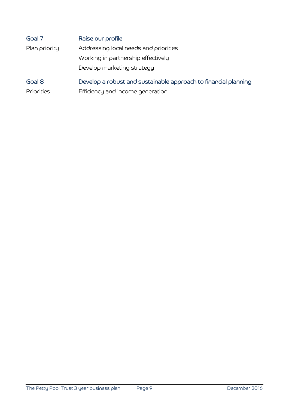| Goal 7        | Raise our profile                                               |
|---------------|-----------------------------------------------------------------|
| Plan priority | Addressing local needs and priorities                           |
|               | Working in partnership effectively                              |
|               | Develop marketing strategy                                      |
| Goal 8        | Develop a robust and sustainable approach to financial planning |

Priorities Efficiency and income generation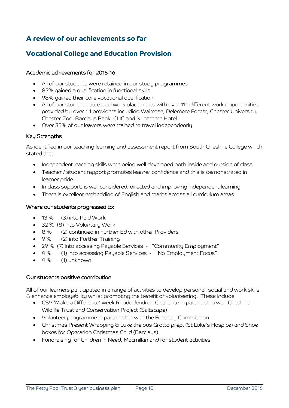#### **A review of our achievements so far**

#### **Vocational College and Education Provision**

#### Academic achievements for 2015-16

- All of our students were retained in our study programmes
- 85% gained a qualification in functional skills
- 98% gained their core vocational qualification
- All of our students accessed work placements with over 111 different work opportunities, provided by over 41 providers including Waitrose, Delemere Forest, Chester University, Chester Zoo, Barclays Bank, CLIC and Nunsmere Hotel
- Over 35% of our leavers were trained to travel independently

#### Key Strengths

As identified in our teaching learning and assessment report from South Cheshire College which stated that

- Independent learning skills were being well developed both inside and outside of class
- Teacher / student rapport promotes learner confidence and this is demonstrated in learner pride
- In class support, is well considered, directed and improving independent learning
- There is excellent embedding of English and maths across all curriculum areas

#### Where our students progressed to:

- 13 % (3) into Paid Work
- 32 % (8) into Voluntary Work
- 8 % (2) continued in Further Ed with other Providers
- 9 % (2) into Further Training
- 29 % (7) into accessing Payable Services "Community Employment"
- 4 % (1) into accessing Payable Services "No Employment Focus"
- 4 % (1) unknown

#### Our students positive contribution

All of our learners participated in a range of activities to develop personal, social and work skills & enhance employability whilst promoting the benefit of volunteering. These include

- CSV 'Make a Difference' week Rhododendron Clearance in partnership with Cheshire Wildlife Trust and Conservation Project (Saltscape)
- Volunteer programme in partnership with the Forestry Commission
- Christmas Present Wrapping & Luke the bus Grotto prep. (St Luke's Hospice) and Shoe boxes for Operation Christmas Child (Barclays)
- Fundraising for Children in Need, Macmillan and for student activities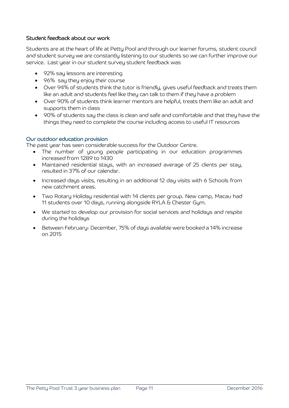#### Student feedback about our work

Students are at the heart of life at Petty Pool and through our learner forums, student council and student survey we are constantly listening to our students so we can further improve our service. Last year in our student survey student feedback was

- 92% say lessons are interesting
- 96% say they enjoy their course
- Over 94% of students think the tutor is friendly, gives useful feedback and treats them like an adult and students feel like they can talk to them if they have a problem
- Over 90% of students think learner mentors are helpful, treats them like an adult and supports them in class
- 90% of students say the class is clean and safe and comfortable and that they have the things they need to complete the course including access to useful IT resources

#### Our outdoor education provision

The past year has seen considerable success for the Outdoor Centre.

- The number of young people participating in our education programmes increased from 1289 to 1430
- Maintained residential stays, with an increased average of 25 clients per stay, resulted in 37% of our calendar.
- Increased days visits, resulting in an additional 12 day visits with 6 Schools from new catchment areas.
- Two Rotary Holiday residential with 14 clients per group. New camp, Macau had 11 students over 10 days, running alongside RYLA & Chester Gym.
- We started to develop our provision for social services and holidays and respite during the holidays
- Between February- December, 75% of days available were booked a 14% increase on 2015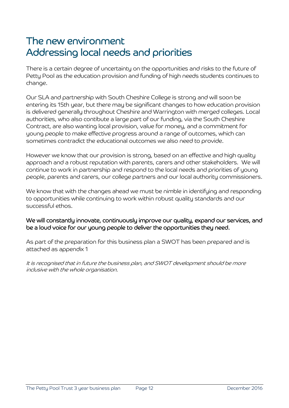## The new environment Addressing local needs and priorities

There is a certain degree of uncertainty on the opportunities and risks to the future of Petty Pool as the education provision and funding of high needs students continues to change.

Our SLA and partnership with South Cheshire College is strong and will soon be entering its 15th year, but there may be significant changes to how education provision is delivered generally throughout Cheshire and Warrington with merged colleges. Local authorities, who also contibute a large part of our funding, via the South Cheshire Contract, are also wanting local provision, value for money, and a commitment for young people to make effective progress around a range of outcomes, which can sometimes contradict the educational outcomes we also need to provide.

However we know that our provision is strong, based on an effective and high quality approach and a robust reputation with parents, carers and other stakeholders. We will continue to work in partnership and respond to the local needs and priorities of young people, parents and carers, our college partners and our local authority commissioners.

We know that with the changes ahead we must be nimble in identifying and responding to opportunities while continuing to work within robust quality standards and our successful ethos.

#### We will constantly innovate, continuously improve our quality, expand our services, and be a loud voice for our young people to deliver the opportunities they need.

As part of the preparation for this business plan a SWOT has been prepared and is attached as appendix 1

It is recognised that in future the business plan, and SWOT development should be more inclusive with the whole organisation.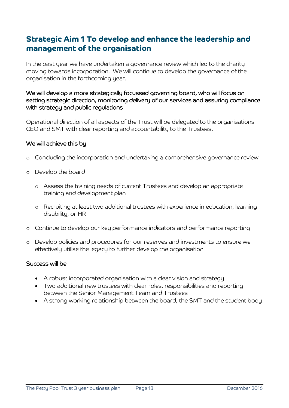## **Strategic Aim 1 To develop and enhance the leadership and management of the organisation**

In the past year we have undertaken a governance review which led to the charity moving towards incorporation. We will continue to develop the governance of the organisation in the forthcoming year.

#### We will develop a more strategically focussed governing board, who will focus on setting strategic direction, monitoring delivery of our services and assuring compliance with strategy and public regulations

Operational direction of all aspects of the Trust will be delegated to the organisations CEO and SMT with clear reporting and accountability to the Trustees.

#### We will achieve this by

- o Concluding the incorporation and undertaking a comprehensive governance review
- o Develop the board
	- o Assess the training needs of current Trustees and develop an appropriate training and development plan
	- o Recruiting at least two additional trustees with experience in education, learning disability, or HR
- o Continue to develop our key performance indicators and performance reporting
- o Develop policies and procedures for our reserves and investments to ensure we effectively utilise the legacy to further develop the organisation

- A robust incorporated organisation with a clear vision and strategy
- Two additional new trustees with clear roles, responsibilities and reporting between the Senior Management Team and Trustees
- A strong working relationship between the board, the SMT and the student body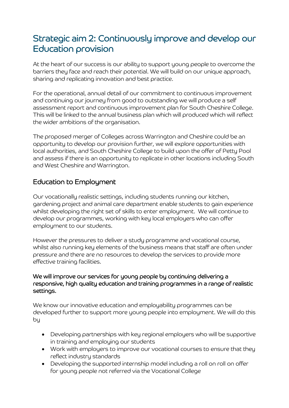## Strategic aim 2: Continuously improve and develop our Education provision

At the heart of our success is our ability to support young people to overcome the barriers they face and reach their potential. We will build on our unique approach, sharing and replicating innovation and best practice.

For the operational, annual detail of our commitment to continuous improvement and continuing our journey from good to outstanding we will produce a self assessment report and continuous improvement plan for South Cheshire College. This will be linked to the annual business plan which will produced which will reflect the wider ambitions of the organisation.

The proposed merger of Colleges across Warrington and Cheshire could be an opportunity to develop our provision further, we will explore opportunities with local authorities, and South Cheshire College to build upon the offer of Petty Pool and assess if there is an opportunity to replicate in other locations including South and West Cheshire and Warrington.

#### Education to Employment

Our vocationally realistic settings, including students running our kitchen, gardening project and animal care department enable students to gain experience whilst developing the right set of skills to enter employment. We will continue to develop our programmes, working with key local employers who can offer employment to our students.

However the pressures to deliver a study programme and vocational course, whilst also running key elements of the business means that staff are often under pressure and there are no resources to develop the services to provide more effective training facilities.

#### We will improve our services for young people by continuing delivering a responsive, high quality education and training programmes in a range of realistic settings.

We know our innovative education and employability programmes can be developed further to support more young people into employment. We will do this by

- Developing partnerships with key regional employers who will be supportive in training and employing our students
- Work with employers to improve our vocational courses to ensure that they reflect industry standards
- Developing the supported internship model including a roll on roll on offer for young people not referred via the Vocational College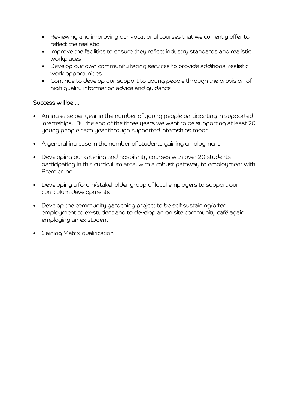- Reviewing and improving our vocational courses that we currently offer to reflect the realistic
- Improve the facilities to ensure they reflect industry standards and realistic workplaces
- Develop our own community facing services to provide additional realistic work opportunities
- Continue to develop our support to young people through the provision of high quality information advice and guidance

- An increase per year in the number of young people participating in supported internships. By the end of the three years we want to be supporting at least 20 young people each year through supported internships model
- A general increase in the number of students gaining employment
- Developing our catering and hospitality courses with over 20 students participating in this curriculum area, with a robust pathway to employment with Premier Inn
- Developing a forum/stakeholder group of local employers to support our curriculum developments
- Develop the community gardening project to be self sustaining/offer employment to ex-student and to develop an on site community café again employing an ex student
- Gaining Matrix qualification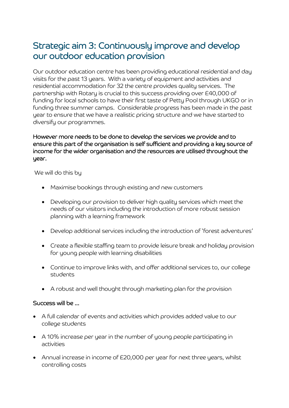## Strategic aim 3: Continuously improve and develop our outdoor education provision

Our outdoor education centre has been providing educational residential and day visits for the past 13 years. With a variety of equipment and activities and residential accommodation for 32 the centre provides quality services. The partnership with Rotary is crucial to this success providing over £40,000 of funding for local schools to have their first taste of Petty Pool through UKGO or in funding three summer camps. Considerable progress has been made in the past year to ensure that we have a realistic pricing structure and we have started to diversify our programmes.

However more needs to be done to develop the services we provide and to ensure this part of the organisation is self sufficient and providing a key source of income for the wider organisation and the resources are utilised throughout the year.

We will do this by

- Maximise bookings through existing and new customers
- Developing our provision to deliver high quality services which meet the needs of our visitors including the introduction of more robust session planning with a learning framework
- Develop additional services including the introduction of 'forest adventures'
- Create a flexible staffing team to provide leisure break and holiday provision for young people with learning disabilities
- Continue to improve links with, and offer additional services to, our college students
- A robust and well thought through marketing plan for the provision

- A full calendar of events and activities which provides added value to our college students
- A 10% increase per year in the number of young people participating in activities
- Annual increase in income of £20,000 per year for next three years, whilst controlling costs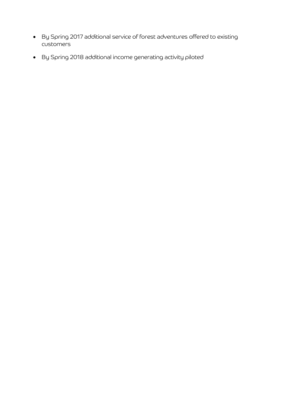- By Spring 2017 additional service of forest adventures offered to existing customers
- By Spring 2018 additional income generating activity piloted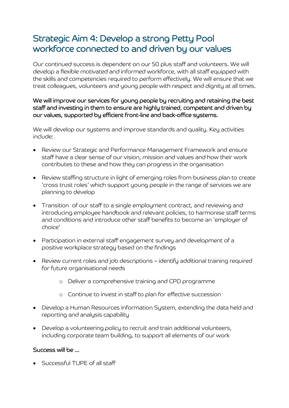## Strategic Aim 4: Develop a strong Petty Pool workforce connected to and driven by our values

Our continued success is dependent on our 50 plus staff and volunteers. We will develop a flexible motivated and informed workforce, with all staff equipped with the skills and competencies required to perform effectively. We will ensure that we treat colleagues, volunteers and young people with respect and dignity at all times.

#### We will improve our services for young people by recruiting and retaining the best staff and investing in them to ensure are highly trained, competent and driven by our values, supported by efficient front-line and back-office systems.

We will develop our systems and improve standards and quality. Key activities include:

- Review our Strategic and Performance Management Framework and ensure staff have a clear sense of our vision, mission and values and how their work contributes to these and how they can progress in the organisation
- Review staffing structure in light of emerging roles from business plan to create 'cross trust roles' which support young people in the range of services we are planning to develop
- Transition of our staff to a single employment contract, and reviewing and introducing employee handbook and relevant policies, to harmonise staff terms and conditions and introduce other staff benefits to become an 'employer of choice'
- Participation in external staff engagement survey and development of a positive workplace strategy based on the findings
- Review current roles and job descriptions identify additional training required for future organisational needs
	- o Deliver a comprehensive training and CPD programme
	- o Continue to invest in staff to plan for effective succession
- Develop a Human Resources Information System, extending the data held and reporting and analysis capability
- Develop a volunteering policy to recruit and train additional volunteers, including corporate team building, to support all elements of our work

#### Success will be …

Successful TUPE of all staff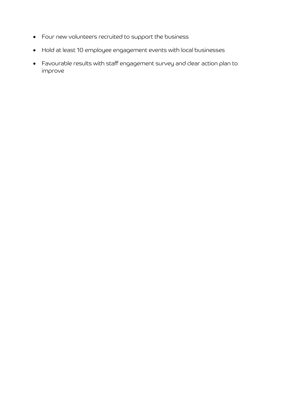- Four new volunteers recruited to support the business
- Hold at least 10 employee engagement events with local businesses
- Favourable results with staff engagement survey and clear action plan to improve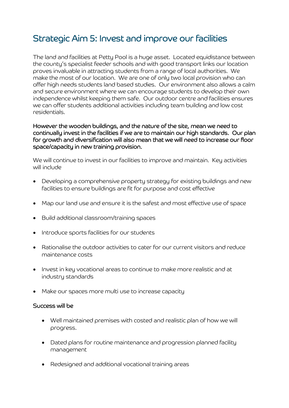## Strategic Aim 5: Invest and improve our facilities

The land and facilities at Petty Pool is a huge asset. Located equidistance between the county's specialist feeder schools and with good transport links our location proves invaluable in attracting students from a range of local authorities. We make the most of our location. We are one of only two local provision who can offer high needs students land based studies. Our environment also allows a calm and secure environment where we can encourage students to develop their own independence whilst keeping them safe. Our outdoor centre and facilities ensures we can offer students additional activities including team building and low cost residentials.

#### However the wooden buildings, and the nature of the site, mean we need to continually invest in the facilities if we are to maintain our high standards. Our plan for growth and diversification will also mean that we will need to increase our floor space/capacity in new training provision.

We will continue to invest in our facilities to improve and maintain. Key activities will include

- Developing a comprehensive property strategy for existing buildings and new facilities to ensure buildings are fit for purpose and cost effective
- Map our land use and ensure it is the safest and most effective use of space
- Build additional classroom/training spaces
- Introduce sports facilities for our students
- Rationalise the outdoor activities to cater for our current visitors and reduce maintenance costs
- Invest in key vocational areas to continue to make more realistic and at industry standards
- Make our spaces more multi use to increase capacity

- Well maintained premises with costed and realistic plan of how we will progress.
- Dated plans for routine maintenance and progression planned facility management
- Redesigned and additional vocational training areas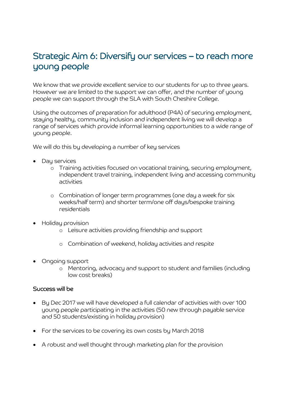## Strategic Aim 6: Diversify our services – to reach more young people

We know that we provide excellent service to our students for up to three years. However we are limited to the support we can offer, and the number of young people we can support through the SLA with South Cheshire College.

Using the outcomes of preparation for adulthood (P4A) of securing employment, staying healthy, community inclusion and independent living we will develop a range of services which provide informal learning opportunities to a wide range of young people.

We will do this by developing a number of key services

- Day services
	- o Training activities focused on vocational training, securing employment, independent travel training, independent living and accessing community activities
	- o Combination of longer term programmes (one day a week for six weeks/half term) and shorter term/one off days/bespoke training residentials
- Holiday provision
	- o Leisure activities providing friendship and support
	- o Combination of weekend, holiday activities and respite
- Ongoing support
	- o Mentoring, advocacy and support to student and families (including low cost breaks)

- By Dec 2017 we will have developed a full calendar of activities with over 100 young people participating in the activities (50 new through payable service and 50 students/existing in holiday provision)
- For the services to be covering its own costs by March 2018
- A robust and well thought through marketing plan for the provision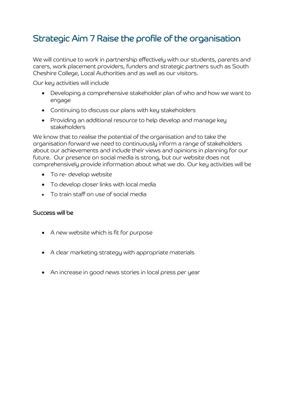## Strategic Aim 7 Raise the profile of the organisation

We will continue to work in partnership effectively with our students, parents and carers, work placement providers, funders and strategic partners such as South Cheshire College, Local Authorities and as well as our visitors.

Our key activities will include

- Developing a comprehensive stakeholder plan of who and how we want to engage
- Continuing to discuss our plans with key stakeholders
- Providing an additional resource to help develop and manage key stakeholders

We know that to realise the potential of the organisation and to take the organisation forward we need to continuously inform a range of stakeholders about our achievements and include their views and opinions in planning for our future. Our presence on social media is strong, but our website does not comprehensively provide information about what we do. Our key activities will be

- To re- develop website
- To develop closer links with local media
- To train staff on use of social media

- A new website which is fit for purpose
- A clear marketing strategy with appropriate materials
- An increase in good news stories in local press per year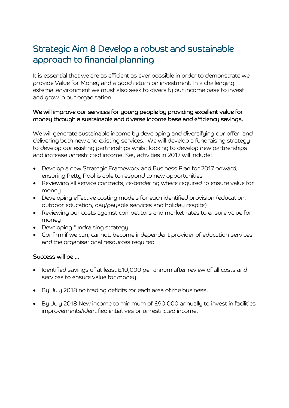## Strategic Aim 8 Develop a robust and sustainable approach to financial planning

It is essential that we are as efficient as ever possible in order to demonstrate we provide Value for Money and a good return on investment. In a challenging external environment we must also seek to diversify our income base to invest and grow in our organisation.

#### We will improve our services for young people by providing excellent value for money through a sustainable and diverse income base and efficiency savings.

We will generate sustainable income by developing and diversifying our offer, and delivering both new and existing services. We will develop a fundraising strategy to develop our existing partnerships whilst looking to develop new partnerships and increase unrestricted income. Key activities in 2017 will include:

- Develop a new Strategic Framework and Business Plan for 2017 onward, ensuring Petty Pool is able to respond to new opportunities
- Reviewing all service contracts, re-tendering where required to ensure value for money
- Developing effective costing models for each identified provision (education, outdoor education, day/payable services and holiday respite)
- Reviewing our costs against competitors and market rates to ensure value for money
- Developing fundraising strategy
- Confirm if we can, cannot, become independent provider of education services and the organisational resources required

- Identified savings of at least £10,000 per annum after review of all costs and services to ensure value for money
- By July 2018 no trading deficits for each area of the business.
- By July 2018 New income to minimum of £90,000 annually to invest in facilities improvements/identified initiatives or unrestricted income.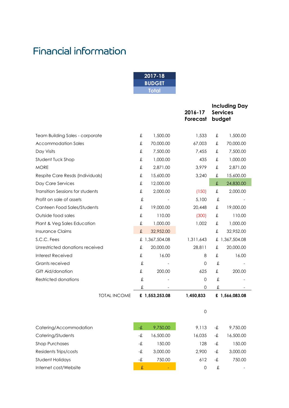## Financial information

| 2017-18       |  |
|---------------|--|
| <b>BUDGET</b> |  |
| Total         |  |

|                                         |   |                | 2016-17<br>Forecast |   | <b>Including Day</b><br><b>Services</b><br>budget |
|-----------------------------------------|---|----------------|---------------------|---|---------------------------------------------------|
| <b>Team Building Sales - corporate</b>  | £ | 1,500.00       | 1,533               | £ | 1,500.00                                          |
| <b>Accommodation Sales</b>              | £ | 70,000.00      | 67,003              | £ | 70,000.00                                         |
| Day Visits                              | £ | 7,500.00       | 7,455               | £ | 7,500.00                                          |
| Student Tuck Shop                       | £ | 1,000.00       | 435                 | £ | 1,000.00                                          |
| <b>MORE</b>                             | £ | 2,871.00       | 3,979               | £ | 2,871.00                                          |
| Respite Care Resds (Individuals)        | £ | 15,600.00      | 3,240               | £ | 15,600.00                                         |
| Day Care Services                       | £ | 12,000.00      |                     | £ | 24,830.00                                         |
| <b>Transition Sessions for students</b> | £ | 2,000.00       | (150)               | £ | 2,000.00                                          |
| Profit on sale of assets                | £ |                | 5,100               | £ |                                                   |
| Canteen Food Sales/Students             | £ | 19,000.00      | 20,448              | £ | 19,000.00                                         |
| Outside food sales                      | £ | 110.00         | (300)               | £ | 110.00                                            |
| Plant & Veg Sales Education             | £ | 1,000.00       | 1,002               | £ | 1,000.00                                          |
| <b>Insurance Claims</b>                 | £ | 32,952.00      |                     | £ | 32,952.00                                         |
| S.C.C. Fees                             | £ | 1,367,504.08   | 1,311,643           | £ | 1,367,504.08                                      |
| Unrestricted donations received         | £ | 20,000.00      | 28,811              | £ | 20,000.00                                         |
| Interest Received                       | £ | 16.00          | 8                   | £ | 16.00                                             |
| Grants received                         | £ |                | $\Omega$            | £ |                                                   |
| Gift Aid/donation                       | £ | 200.00         | 625                 | £ | 200.00                                            |
| <b>Restricted donations</b>             | £ |                | $\mathbf 0$         | £ |                                                   |
|                                         | £ |                | 0                   | £ |                                                   |
| <b>TOTAL INCOME</b>                     |   | £ 1,553,253.08 | 1,450,833           |   | £ 1,566,083.08                                    |

| Catering/Accommodation | -£ | 9.750.00  | 9.113  | -£ | 9,750.00  |
|------------------------|----|-----------|--------|----|-----------|
| Catering/Students      | -£ | 16,500.00 | 16.035 | -£ | 16,500.00 |
| Shop Purchases         | -£ | 150.00    | 128    | -£ | 150.00    |
| Residents Trips/costs  | -£ | 3,000,00  | 2,900  | -£ | 3,000.00  |
| Student Holidays       | -£ | 750.00    | 612    | -£ | 750.00    |
| Internet cost/Website  | £  |           | 0      | £  |           |

0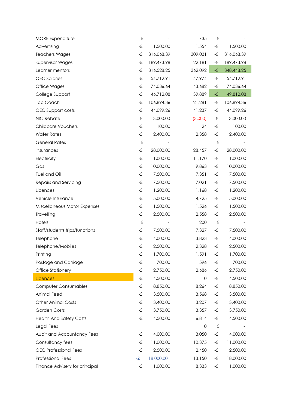| <b>MORE Expenditure</b>        | £                |            | 735     | £                   |            |
|--------------------------------|------------------|------------|---------|---------------------|------------|
| Advertising                    | $-\pmb{\hat{x}}$ | 1,500.00   | 1,554   | -£                  | 1,500.00   |
| <b>Teachers Wages</b>          | -£               | 316,068.39 | 309,031 | -£                  | 316,068.39 |
| <b>Supervisor Wages</b>        | -£               | 189,473.98 | 122,181 | -£                  | 189,473.98 |
| Learner mentors                | -£               | 316,528.25 | 362,092 | $\textup{-}\pounds$ | 348,448.25 |
| <b>OEC</b> Salaries            | -£               | 54,712.91  | 47,974  | -£                  | 54,712.91  |
| Office Wages                   | -£               | 74,036.64  | 43,682  | -£                  | 74,036.64  |
| College Support                | $-\pmb{\hat{x}}$ | 46,712.08  | 39,889  | $-\pmb{\hat{x}}$    | 49,812.08  |
| Job Coach                      | -£               | 106,894.36 | 21,281  | -£                  | 106,894.36 |
| OEC Support costs              | -£               | 44,099.26  | 41,237  | -£                  | 44,099.26  |
| NIC Rebate                     | £                | 3,000.00   | (3,000) | £                   | 3,000.00   |
| <b>Childcare Vouchers</b>      | $-\pmb{\hat{x}}$ | 100.00     | 24      | -£                  | 100.00     |
| <b>Water Rates</b>             | $-\pmb{\hat{x}}$ | 2,400.00   | 2,358   | -£                  | 2,400.00   |
| <b>General Rates</b>           | $\pounds$        |            |         | £                   |            |
| Insurances                     | -£               | 28,000.00  | 28,457  | -£                  | 28,000.00  |
| Electricity                    | $-\pounds$       | 11,000.00  | 11,170  | -£                  | 11,000.00  |
| Gas                            | -£               | 10,000.00  | 9,863   | -£                  | 10,000.00  |
| Fuel and Oil                   | $-\pmb{\hat{x}}$ | 7,500.00   | 7,351   | -£                  | 7,500.00   |
| Repairs and Servicing          | -£               | 7,500.00   | 7,021   | -£                  | 7,500.00   |
| Licences                       | -£               | 1,200.00   | 1,168   | -£                  | 1,200.00   |
| Vehicle Insurance              | $-\pmb{\hat{x}}$ | 5,000.00   | 4,725   | -£                  | 5,000.00   |
| Miscellaneous Motor Expenses   | -£               | 1,500.00   | 1,526   | -£                  | 1,500.00   |
| Travelling                     | -£               | 2,500.00   | 2,558   | -£                  | 2,500.00   |
| Hotels                         | £                |            | 200     | £                   |            |
| Staff/students trips/functions | -£               | 7,500.00   | 7,327   | -£                  | 7,500.00   |
| Telephone                      | -£               | 4,000.00   | 3,823   | -£                  | 4,000.00   |
| Telephone/Mobiles              | -£               | 2,500.00   | 2,328   | -£                  | 2,500.00   |
| Printing                       | -£               | 1,700.00   | 1,591   | -£                  | 1,700.00   |
| Postage and Carriage           | $-\pmb{\hat{x}}$ | 700.00     | 596     | -£                  | 700.00     |
| Office Stationery              | $-\pmb{\hat{x}}$ | 2,750.00   | 2,686   | -£                  | 2,750.00   |
| Licences                       | -£               | 4,500.00   | 0       | -£                  | 4,500.00   |
| <b>Computer Consumables</b>    | -£               | 8,850.00   | 8,264   | -£                  | 8,850.00   |
| Animal Feed                    | -£               | 3,500.00   | 3,568   | -£                  | 3,500.00   |
| <b>Other Animal Costs</b>      | -£               | 3,400.00   | 3,207   | -£                  | 3,400.00   |
| <b>Garden Costs</b>            | -£               | 3,750.00   | 3,357   | -£                  | 3,750.00   |
| <b>Health And Safety Costs</b> | -£               | 4,500.00   | 6,814   | -£                  | 4,500.00   |
| Legal Fees                     |                  |            | 0       | £                   |            |
| Audit and Accountancy Fees     | -£               | 4,000.00   | 3,050   | -£                  | 4,000.00   |
| Consultancy fees               | -£               | 11,000.00  | 10,375  | -£                  | 11,000.00  |
| <b>OEC Professional Fees</b>   | -£               | 2,500.00   | 2,450   | -£                  | 2,500.00   |
| <b>Professional Fees</b>       | -£               | 18,000.00  | 13,150  | -£                  | 18,000.00  |
| Finance Advisery for principal | -£               | 1,000.00   | 8,333   | -£                  | 1,000.00   |